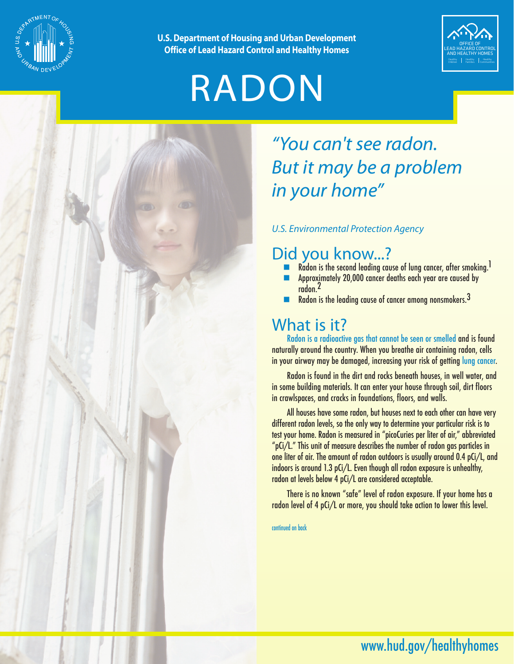

**U.S. Department of Housing and Urban Development Office of Lead Hazard Control and Healthy Homes**

# RADON



### *"You can't see radon. But it may be a problem in your home"*

#### *U.S. Environmental Protection Agency*

### Did you know...?

- Radon is the second leading cause of lung cancer, after smoking.<sup>1</sup>
- **n** Approximately 20,000 cancer deaths each year are caused by radon.2
- Radon is the leading cause of cancer among nonsmokers.<sup>3</sup>

### What is it?

Radon is a radioactive gas that cannot be seen or smelled and is found naturally around the country. When you breathe air containing radon, cells in your airway may be damaged, increasing your risk of getting lung cancer.

Radon is found in the dirt and rocks beneath houses, in well water, and in some building materials. It can enter your house through soil, dirt floors in crawlspaces, and cracks in foundations, floors, and walls.

All houses have some radon, but houses next to each other can have very different radon levels, so the only way to determine your particular risk is to test your home. Radon is measured in "picoCuries per liter of air," abbreviated "pCi/L." This unit of measure describes the number of radon gas particles in one liter of air. The amount of radon outdoors is usually around 0.4 pCi/L, and indoors is around 1.3 pCi/L. Even though all radon exposure is unhealthy, radon at levels below 4 pCi/L are considered acceptable.

There is no known "safe" level of radon exposure. If your home has a radon level of 4 pCi/L or more, you should take action to lower this level.

continued on back